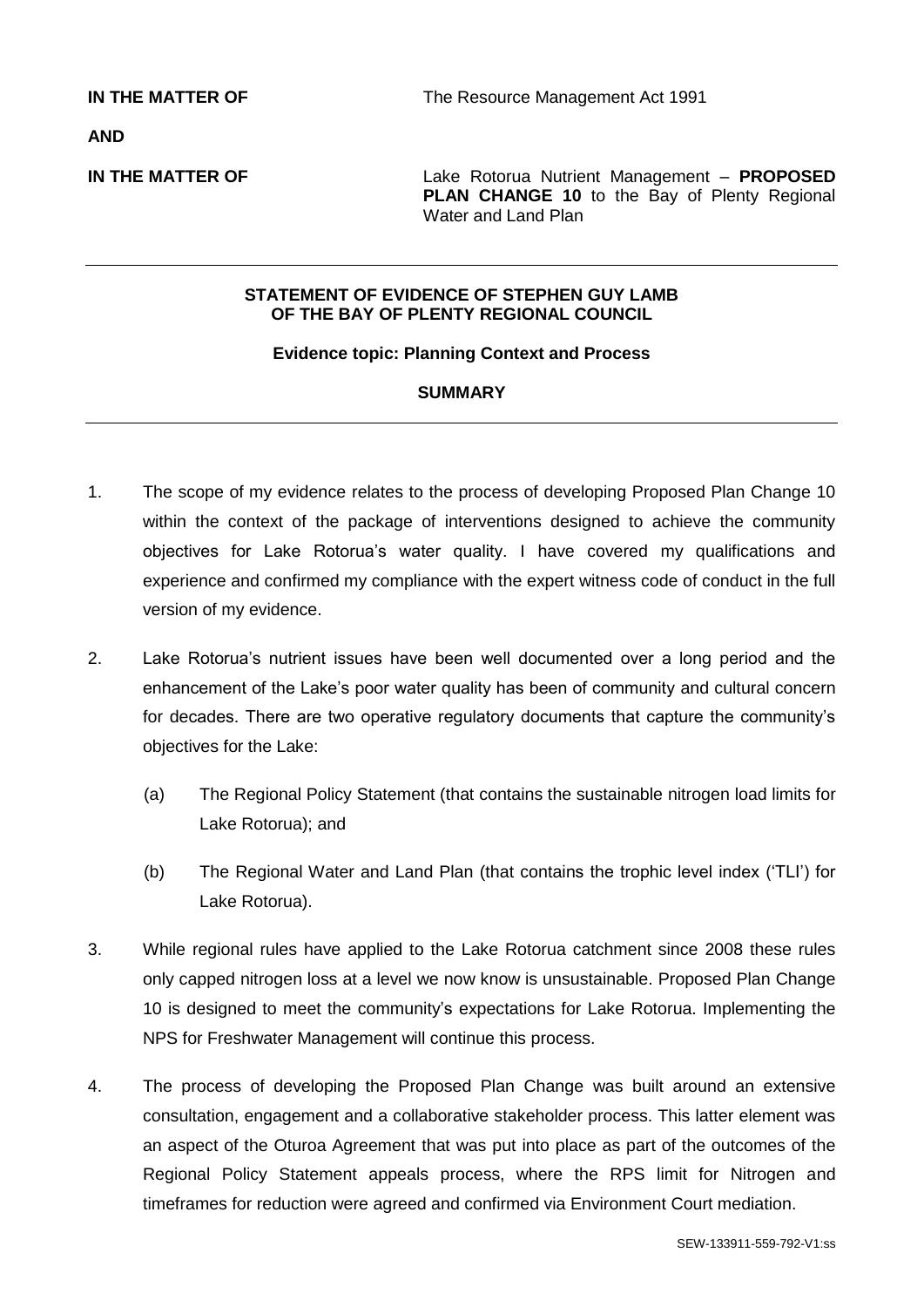**AND**

**IN THE MATTER OF** Lake Rotorua Nutrient Management – **PROPOSED PLAN CHANGE 10** to the Bay of Plenty Regional Water and Land Plan

### **STATEMENT OF EVIDENCE OF STEPHEN GUY LAMB OF THE BAY OF PLENTY REGIONAL COUNCIL**

### **Evidence topic: Planning Context and Process**

## **SUMMARY**

- 1. The scope of my evidence relates to the process of developing Proposed Plan Change 10 within the context of the package of interventions designed to achieve the community objectives for Lake Rotorua's water quality. I have covered my qualifications and experience and confirmed my compliance with the expert witness code of conduct in the full version of my evidence.
- 2. Lake Rotorua's nutrient issues have been well documented over a long period and the enhancement of the Lake's poor water quality has been of community and cultural concern for decades. There are two operative regulatory documents that capture the community's objectives for the Lake:
	- (a) The Regional Policy Statement (that contains the sustainable nitrogen load limits for Lake Rotorua); and
	- (b) The Regional Water and Land Plan (that contains the trophic level index ('TLI') for Lake Rotorua).
- 3. While regional rules have applied to the Lake Rotorua catchment since 2008 these rules only capped nitrogen loss at a level we now know is unsustainable. Proposed Plan Change 10 is designed to meet the community's expectations for Lake Rotorua. Implementing the NPS for Freshwater Management will continue this process.
- 4. The process of developing the Proposed Plan Change was built around an extensive consultation, engagement and a collaborative stakeholder process. This latter element was an aspect of the Oturoa Agreement that was put into place as part of the outcomes of the Regional Policy Statement appeals process, where the RPS limit for Nitrogen and timeframes for reduction were agreed and confirmed via Environment Court mediation.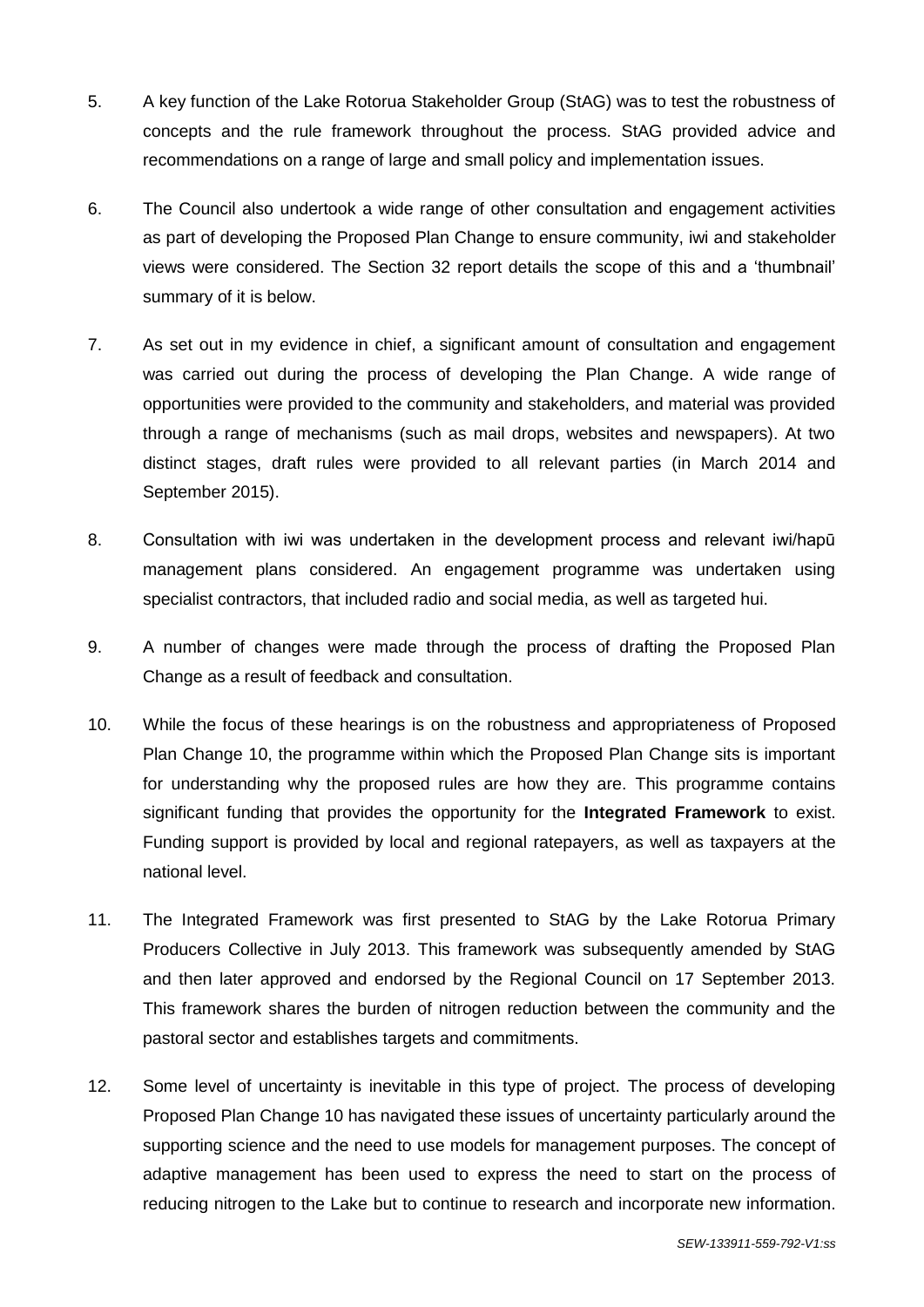- 5. A key function of the Lake Rotorua Stakeholder Group (StAG) was to test the robustness of concepts and the rule framework throughout the process. StAG provided advice and recommendations on a range of large and small policy and implementation issues.
- 6. The Council also undertook a wide range of other consultation and engagement activities as part of developing the Proposed Plan Change to ensure community, iwi and stakeholder views were considered. The Section 32 report details the scope of this and a 'thumbnail' summary of it is below.
- 7. As set out in my evidence in chief, a significant amount of consultation and engagement was carried out during the process of developing the Plan Change. A wide range of opportunities were provided to the community and stakeholders, and material was provided through a range of mechanisms (such as mail drops, websites and newspapers). At two distinct stages, draft rules were provided to all relevant parties (in March 2014 and September 2015).
- 8. Consultation with iwi was undertaken in the development process and relevant iwi/hapū management plans considered. An engagement programme was undertaken using specialist contractors, that included radio and social media, as well as targeted hui.
- 9. A number of changes were made through the process of drafting the Proposed Plan Change as a result of feedback and consultation.
- 10. While the focus of these hearings is on the robustness and appropriateness of Proposed Plan Change 10, the programme within which the Proposed Plan Change sits is important for understanding why the proposed rules are how they are. This programme contains significant funding that provides the opportunity for the **Integrated Framework** to exist. Funding support is provided by local and regional ratepayers, as well as taxpayers at the national level.
- 11. The Integrated Framework was first presented to StAG by the Lake Rotorua Primary Producers Collective in July 2013. This framework was subsequently amended by StAG and then later approved and endorsed by the Regional Council on 17 September 2013. This framework shares the burden of nitrogen reduction between the community and the pastoral sector and establishes targets and commitments.
- 12. Some level of uncertainty is inevitable in this type of project. The process of developing Proposed Plan Change 10 has navigated these issues of uncertainty particularly around the supporting science and the need to use models for management purposes. The concept of adaptive management has been used to express the need to start on the process of reducing nitrogen to the Lake but to continue to research and incorporate new information.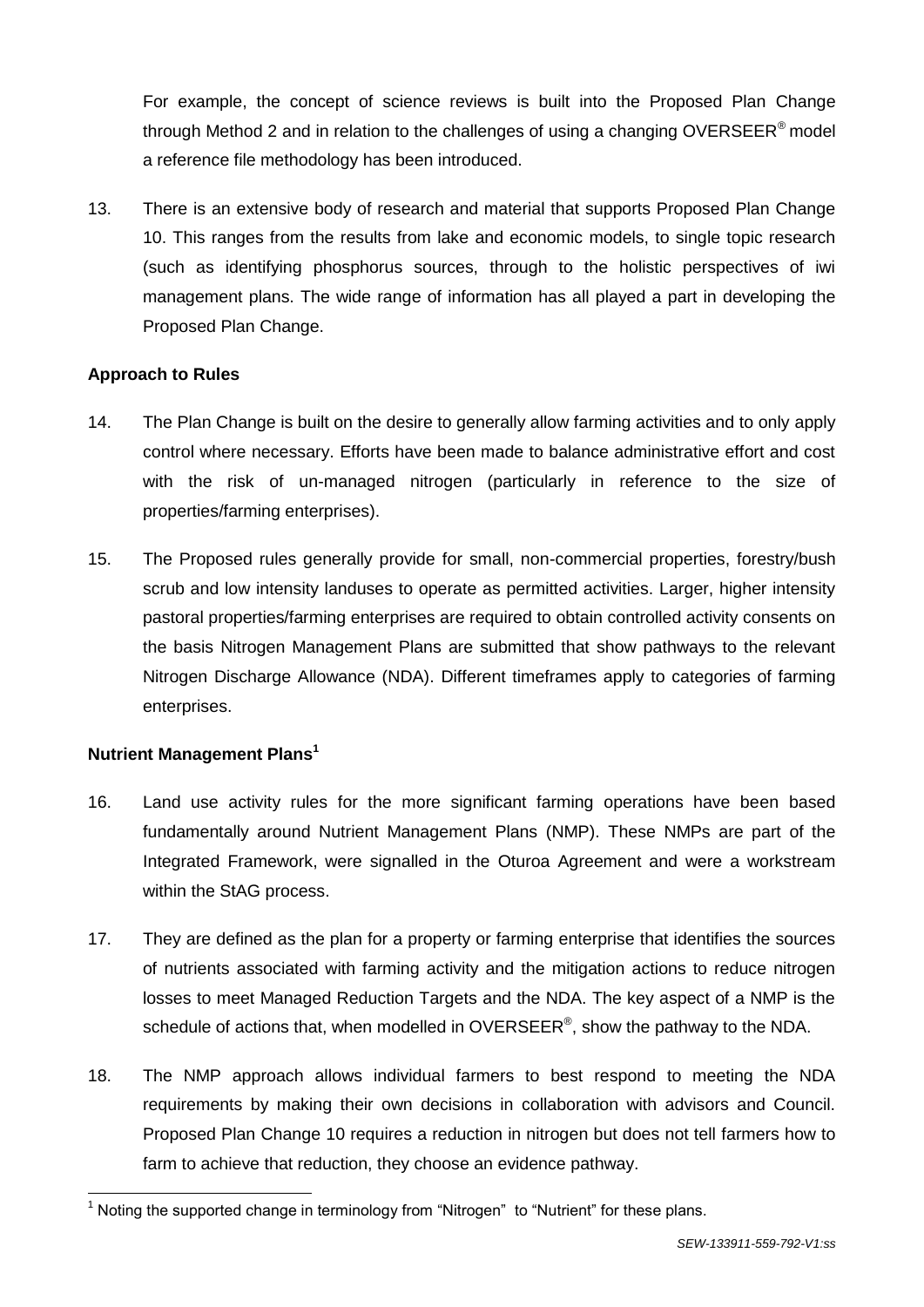For example, the concept of science reviews is built into the Proposed Plan Change through Method 2 and in relation to the challenges of using a changing OVERSEER<sup>®</sup> model a reference file methodology has been introduced.

13. There is an extensive body of research and material that supports Proposed Plan Change 10. This ranges from the results from lake and economic models, to single topic research (such as identifying phosphorus sources, through to the holistic perspectives of iwi management plans. The wide range of information has all played a part in developing the Proposed Plan Change.

# **Approach to Rules**

- 14. The Plan Change is built on the desire to generally allow farming activities and to only apply control where necessary. Efforts have been made to balance administrative effort and cost with the risk of un-managed nitrogen (particularly in reference to the size of properties/farming enterprises).
- 15. The Proposed rules generally provide for small, non-commercial properties, forestry/bush scrub and low intensity landuses to operate as permitted activities. Larger, higher intensity pastoral properties/farming enterprises are required to obtain controlled activity consents on the basis Nitrogen Management Plans are submitted that show pathways to the relevant Nitrogen Discharge Allowance (NDA). Different timeframes apply to categories of farming enterprises.

# **Nutrient Management Plans<sup>1</sup>**

-

- 16. Land use activity rules for the more significant farming operations have been based fundamentally around Nutrient Management Plans (NMP). These NMPs are part of the Integrated Framework, were signalled in the Oturoa Agreement and were a workstream within the StAG process.
- 17. They are defined as the plan for a property or farming enterprise that identifies the sources of nutrients associated with farming activity and the mitigation actions to reduce nitrogen losses to meet Managed Reduction Targets and the NDA. The key aspect of a NMP is the schedule of actions that, when modelled in OVERSEER®, show the pathway to the NDA.
- 18. The NMP approach allows individual farmers to best respond to meeting the NDA requirements by making their own decisions in collaboration with advisors and Council. Proposed Plan Change 10 requires a reduction in nitrogen but does not tell farmers how to farm to achieve that reduction, they choose an evidence pathway.

 $1$  Noting the supported change in terminology from "Nitrogen" to "Nutrient" for these plans.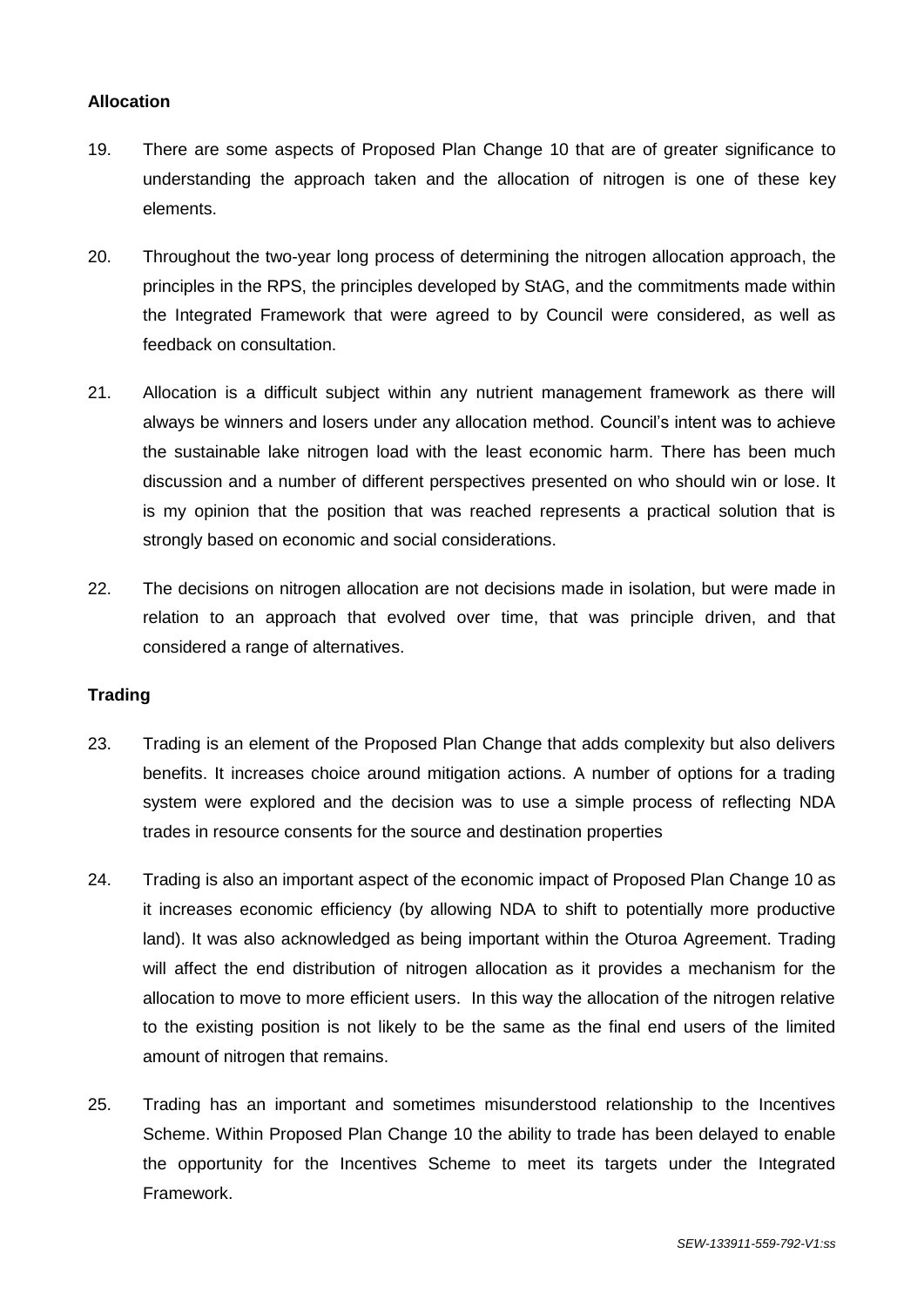## **Allocation**

- 19. There are some aspects of Proposed Plan Change 10 that are of greater significance to understanding the approach taken and the allocation of nitrogen is one of these key elements.
- 20. Throughout the two-year long process of determining the nitrogen allocation approach, the principles in the RPS, the principles developed by StAG, and the commitments made within the Integrated Framework that were agreed to by Council were considered, as well as feedback on consultation.
- 21. Allocation is a difficult subject within any nutrient management framework as there will always be winners and losers under any allocation method. Council's intent was to achieve the sustainable lake nitrogen load with the least economic harm. There has been much discussion and a number of different perspectives presented on who should win or lose. It is my opinion that the position that was reached represents a practical solution that is strongly based on economic and social considerations.
- 22. The decisions on nitrogen allocation are not decisions made in isolation, but were made in relation to an approach that evolved over time, that was principle driven, and that considered a range of alternatives.

### **Trading**

- 23. Trading is an element of the Proposed Plan Change that adds complexity but also delivers benefits. It increases choice around mitigation actions. A number of options for a trading system were explored and the decision was to use a simple process of reflecting NDA trades in resource consents for the source and destination properties
- 24. Trading is also an important aspect of the economic impact of Proposed Plan Change 10 as it increases economic efficiency (by allowing NDA to shift to potentially more productive land). It was also acknowledged as being important within the Oturoa Agreement. Trading will affect the end distribution of nitrogen allocation as it provides a mechanism for the allocation to move to more efficient users. In this way the allocation of the nitrogen relative to the existing position is not likely to be the same as the final end users of the limited amount of nitrogen that remains.
- 25. Trading has an important and sometimes misunderstood relationship to the Incentives Scheme. Within Proposed Plan Change 10 the ability to trade has been delayed to enable the opportunity for the Incentives Scheme to meet its targets under the Integrated Framework.